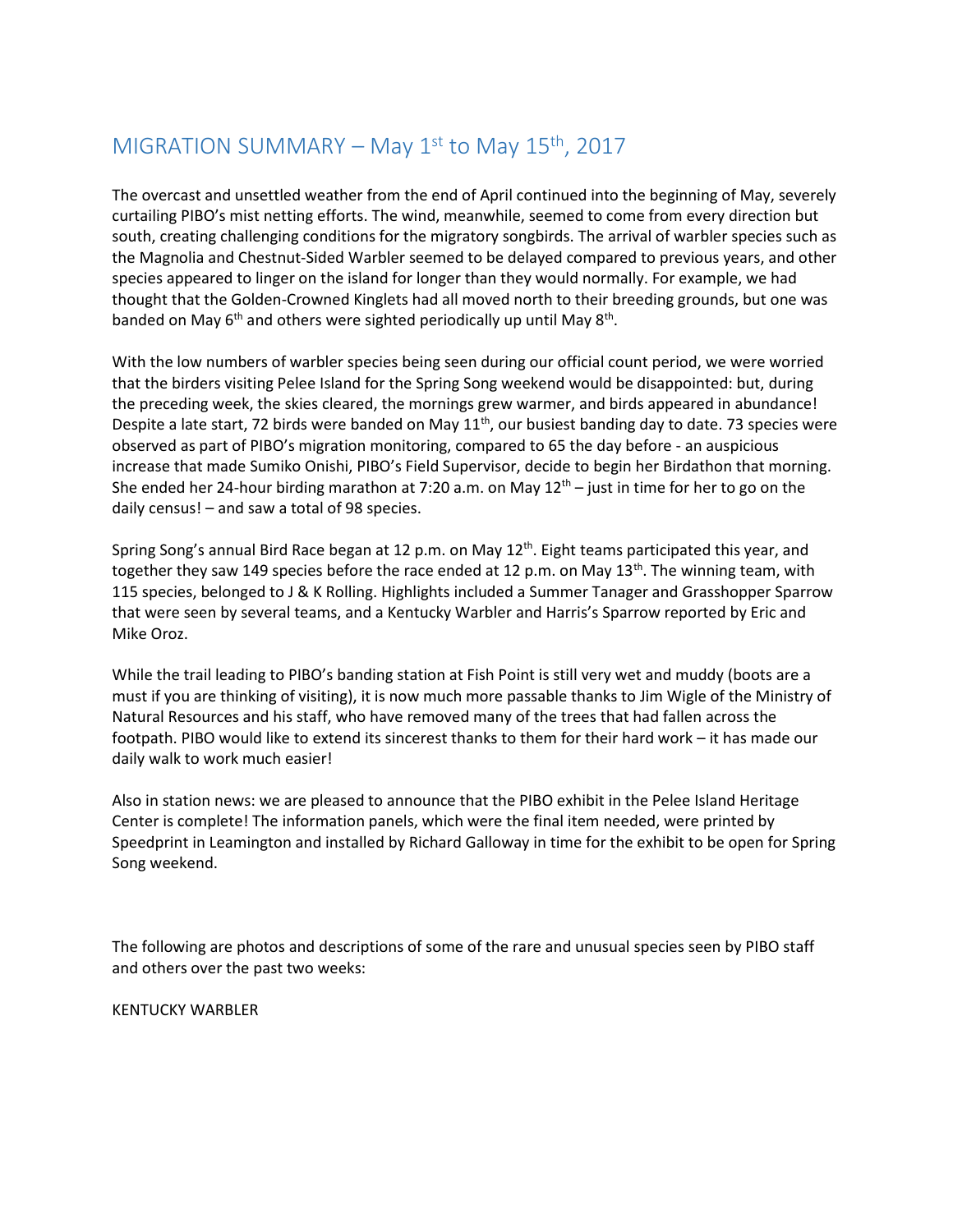## MIGRATION SUMMARY – May  $1<sup>st</sup>$  to May  $15<sup>th</sup>$ , 2017

The overcast and unsettled weather from the end of April continued into the beginning of May, severely curtailing PIBO's mist netting efforts. The wind, meanwhile, seemed to come from every direction but south, creating challenging conditions for the migratory songbirds. The arrival of warbler species such as the Magnolia and Chestnut-Sided Warbler seemed to be delayed compared to previous years, and other species appeared to linger on the island for longer than they would normally. For example, we had thought that the Golden-Crowned Kinglets had all moved north to their breeding grounds, but one was banded on May 6<sup>th</sup> and others were sighted periodically up until May 8<sup>th</sup>.

With the low numbers of warbler species being seen during our official count period, we were worried that the birders visiting Pelee Island for the Spring Song weekend would be disappointed: but, during the preceding week, the skies cleared, the mornings grew warmer, and birds appeared in abundance! Despite a late start, 72 birds were banded on May 11<sup>th</sup>, our busiest banding day to date. 73 species were observed as part of PIBO's migration monitoring, compared to 65 the day before - an auspicious increase that made Sumiko Onishi, PIBO's Field Supervisor, decide to begin her Birdathon that morning. She ended her 24-hour birding marathon at 7:20 a.m. on May  $12<sup>th</sup>$  – just in time for her to go on the daily census! – and saw a total of 98 species.

Spring Song's annual Bird Race began at 12 p.m. on May  $12<sup>th</sup>$ . Eight teams participated this year, and together they saw 149 species before the race ended at 12 p.m. on May  $13<sup>th</sup>$ . The winning team, with 115 species, belonged to J & K Rolling. Highlights included a Summer Tanager and Grasshopper Sparrow that were seen by several teams, and a Kentucky Warbler and Harris's Sparrow reported by Eric and Mike Oroz.

While the trail leading to PIBO's banding station at Fish Point is still very wet and muddy (boots are a must if you are thinking of visiting), it is now much more passable thanks to Jim Wigle of the Ministry of Natural Resources and his staff, who have removed many of the trees that had fallen across the footpath. PIBO would like to extend its sincerest thanks to them for their hard work – it has made our daily walk to work much easier!

Also in station news: we are pleased to announce that the PIBO exhibit in the Pelee Island Heritage Center is complete! The information panels, which were the final item needed, were printed by Speedprint in Leamington and installed by Richard Galloway in time for the exhibit to be open for Spring Song weekend.

The following are photos and descriptions of some of the rare and unusual species seen by PIBO staff and others over the past two weeks:

KENTUCKY WARBLER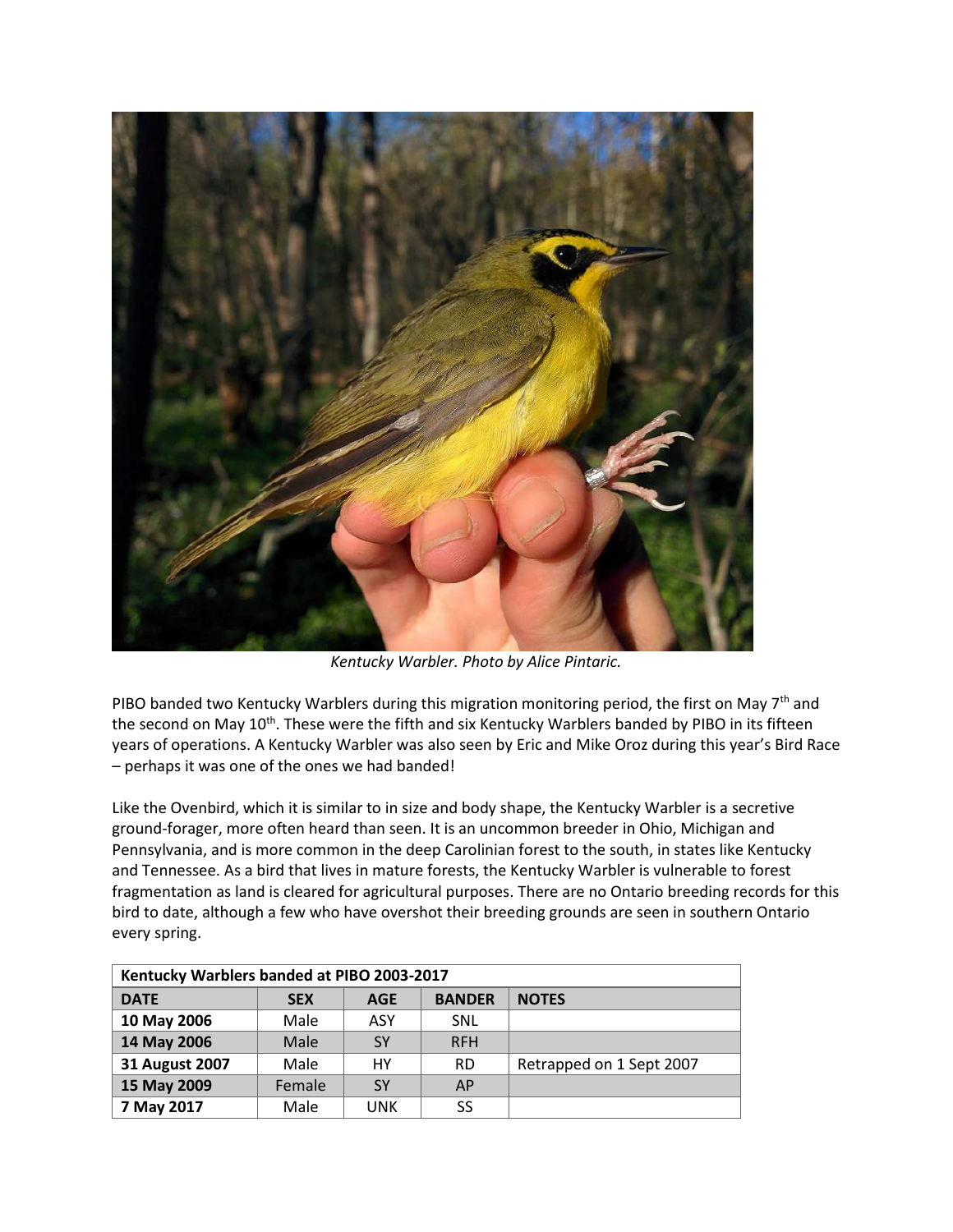

*Kentucky Warbler. Photo by Alice Pintaric.* 

PIBO banded two Kentucky Warblers during this migration monitoring period, the first on May 7<sup>th</sup> and the second on May 10<sup>th</sup>. These were the fifth and six Kentucky Warblers banded by PIBO in its fifteen years of operations. A Kentucky Warbler was also seen by Eric and Mike Oroz during this year's Bird Race – perhaps it was one of the ones we had banded!

Like the Ovenbird, which it is similar to in size and body shape, the Kentucky Warbler is a secretive ground-forager, more often heard than seen. It is an uncommon breeder in Ohio, Michigan and Pennsylvania, and is more common in the deep Carolinian forest to the south, in states like Kentucky and Tennessee. As a bird that lives in mature forests, the Kentucky Warbler is vulnerable to forest fragmentation as land is cleared for agricultural purposes. There are no Ontario breeding records for this bird to date, although a few who have overshot their breeding grounds are seen in southern Ontario every spring.

| Kentucky Warblers banded at PIBO 2003-2017 |            |     |               |                          |  |
|--------------------------------------------|------------|-----|---------------|--------------------------|--|
| <b>DATE</b>                                | <b>SEX</b> | AGE | <b>BANDER</b> | <b>NOTES</b>             |  |
| 10 May 2006                                | Male       | ASY | SNL           |                          |  |
| 14 May 2006                                | Male       | SY  | <b>RFH</b>    |                          |  |
| <b>31 August 2007</b>                      | Male       | HY  | <b>RD</b>     | Retrapped on 1 Sept 2007 |  |
| 15 May 2009                                | Female     | SY  | AP            |                          |  |
| 7 May 2017                                 | Male       | UNK | SS            |                          |  |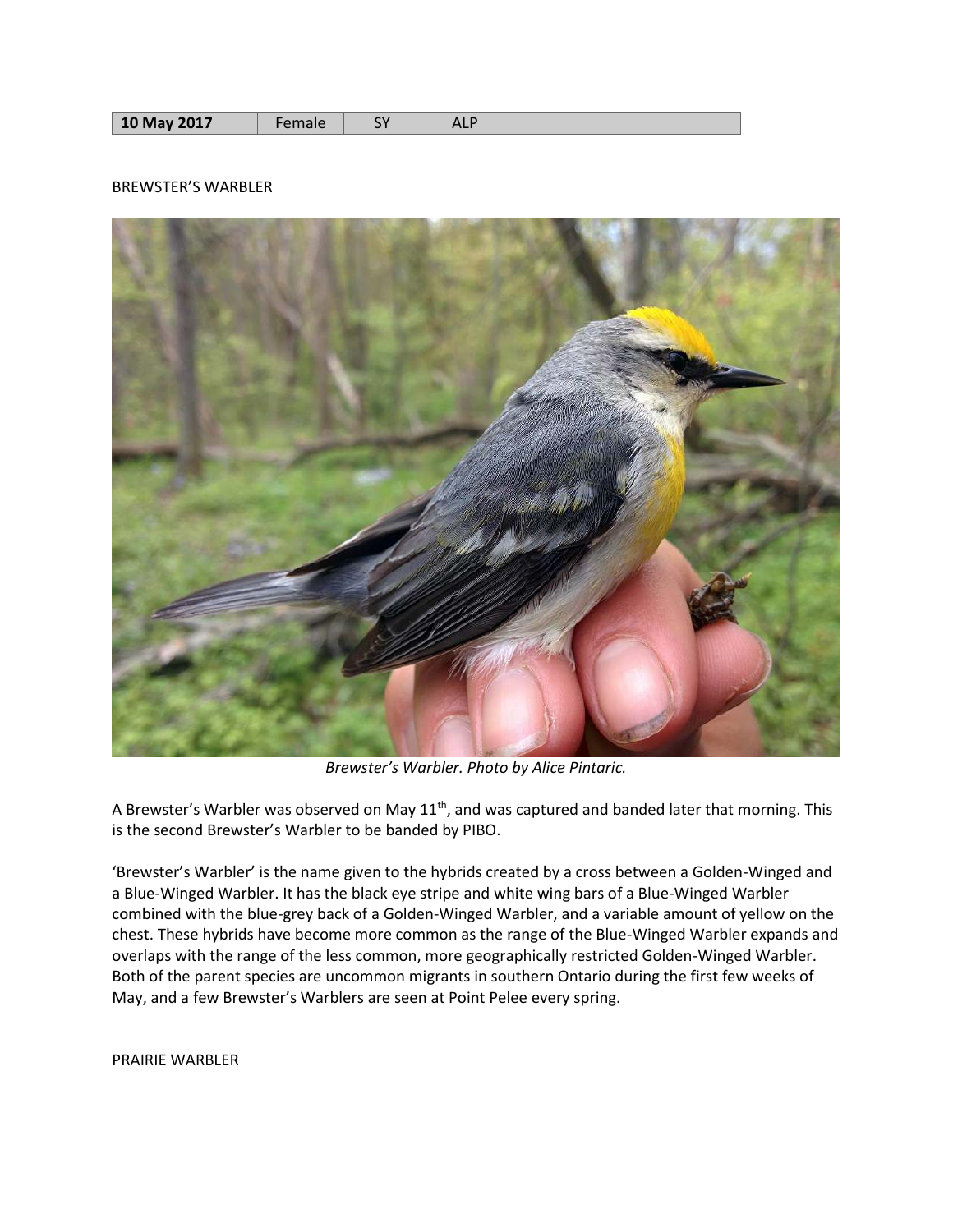|--|

## BREWSTER'S WARBLER



*Brewster's Warbler. Photo by Alice Pintaric.*

A Brewster's Warbler was observed on May  $11<sup>th</sup>$ , and was captured and banded later that morning. This is the second Brewster's Warbler to be banded by PIBO.

'Brewster's Warbler' is the name given to the hybrids created by a cross between a Golden-Winged and a Blue-Winged Warbler. It has the black eye stripe and white wing bars of a Blue-Winged Warbler combined with the blue-grey back of a Golden-Winged Warbler, and a variable amount of yellow on the chest. These hybrids have become more common as the range of the Blue-Winged Warbler expands and overlaps with the range of the less common, more geographically restricted Golden-Winged Warbler. Both of the parent species are uncommon migrants in southern Ontario during the first few weeks of May, and a few Brewster's Warblers are seen at Point Pelee every spring.

PRAIRIE WARBLER